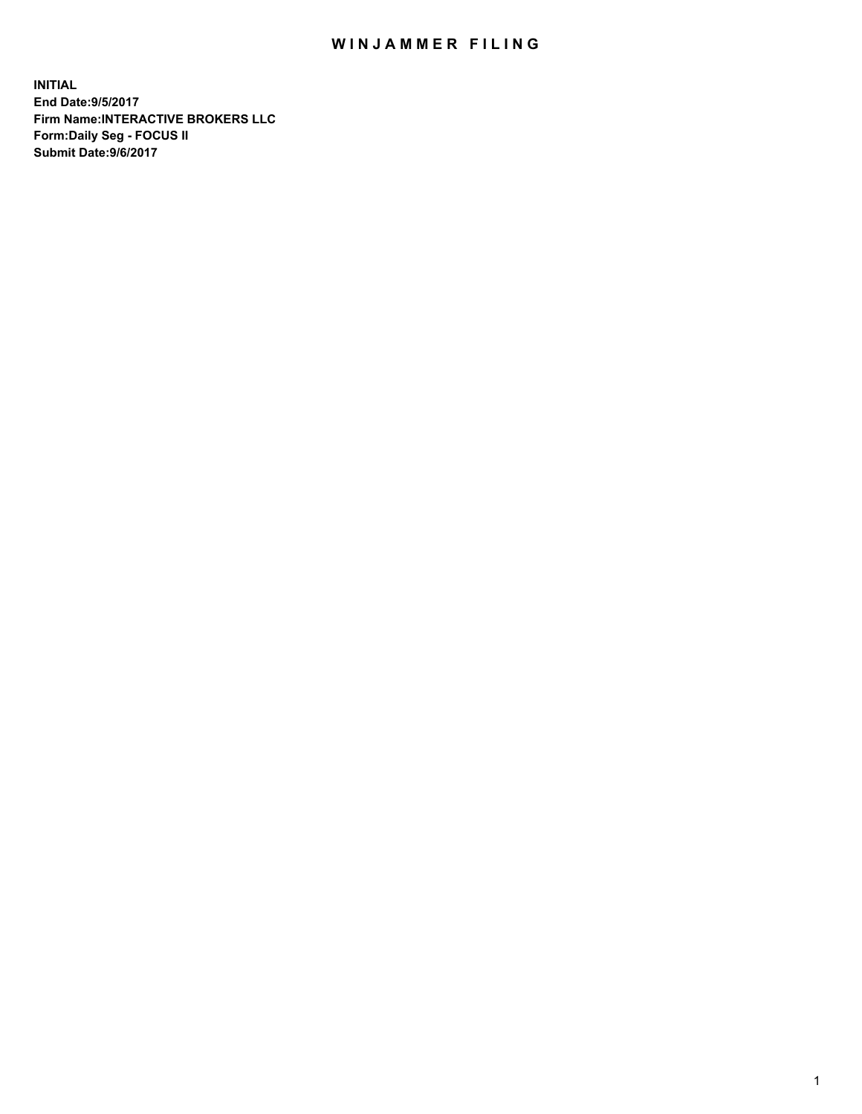## WIN JAMMER FILING

**INITIAL End Date:9/5/2017 Firm Name:INTERACTIVE BROKERS LLC Form:Daily Seg - FOCUS II Submit Date:9/6/2017**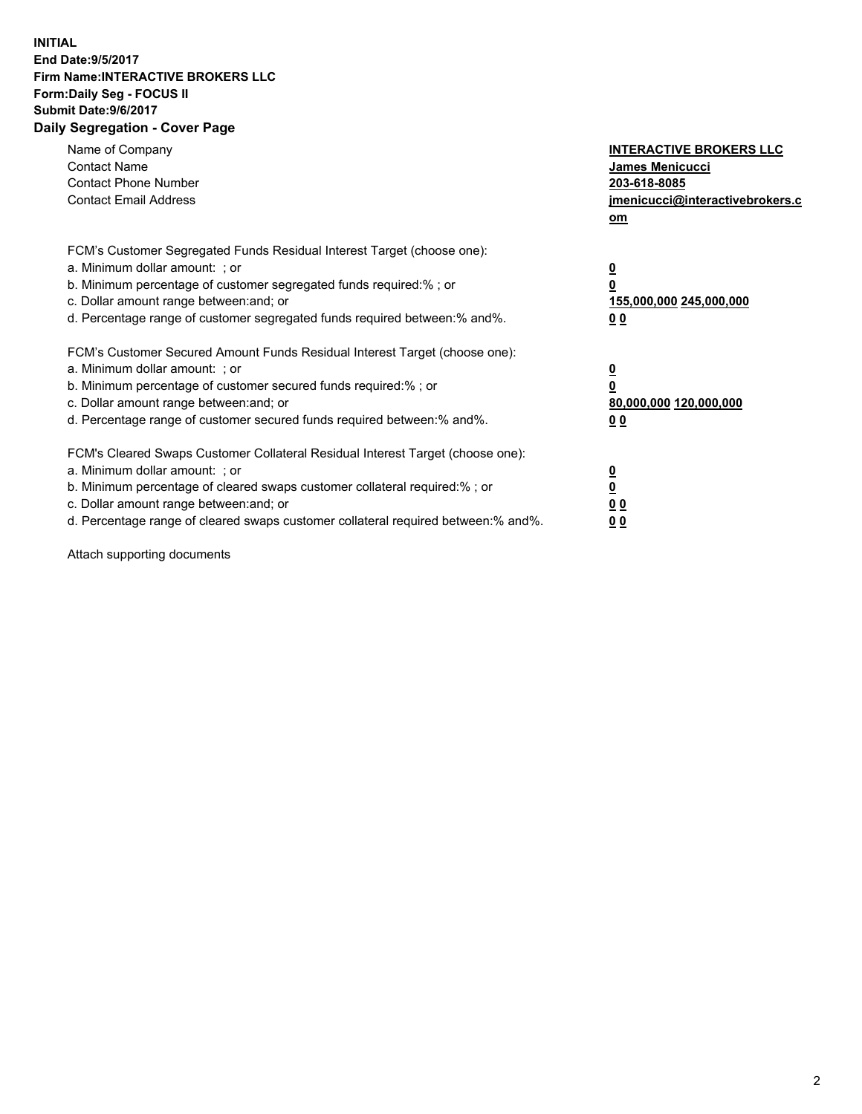## **INITIAL End Date:9/5/2017 Firm Name:INTERACTIVE BROKERS LLC Form:Daily Seg - FOCUS II Submit Date:9/6/2017 Daily Segregation - Cover Page**

| Name of Company<br><b>Contact Name</b><br><b>Contact Phone Number</b><br><b>Contact Email Address</b>                                                                                                                                                                                                                          | <b>INTERACTIVE BROKERS LLC</b><br>James Menicucci<br>203-618-8085<br>jmenicucci@interactivebrokers.c<br>om |
|--------------------------------------------------------------------------------------------------------------------------------------------------------------------------------------------------------------------------------------------------------------------------------------------------------------------------------|------------------------------------------------------------------------------------------------------------|
| FCM's Customer Segregated Funds Residual Interest Target (choose one):<br>a. Minimum dollar amount: ; or<br>b. Minimum percentage of customer segregated funds required:%; or<br>c. Dollar amount range between: and; or<br>d. Percentage range of customer segregated funds required between: % and %.                        | $\overline{\mathbf{0}}$<br>0<br>155,000,000 245,000,000<br>0 <sub>0</sub>                                  |
| FCM's Customer Secured Amount Funds Residual Interest Target (choose one):<br>a. Minimum dollar amount: ; or<br>b. Minimum percentage of customer secured funds required:%; or<br>c. Dollar amount range between: and; or<br>d. Percentage range of customer secured funds required between: % and %.                          | $\underline{\mathbf{0}}$<br>$\mathbf 0$<br>80,000,000 120,000,000<br>00                                    |
| FCM's Cleared Swaps Customer Collateral Residual Interest Target (choose one):<br>a. Minimum dollar amount: ; or<br>b. Minimum percentage of cleared swaps customer collateral required:% ; or<br>c. Dollar amount range between: and; or<br>d. Percentage range of cleared swaps customer collateral required between:% and%. | $\underline{\mathbf{0}}$<br>$\underline{\mathbf{0}}$<br>0 <sub>0</sub><br><u>00</u>                        |

Attach supporting documents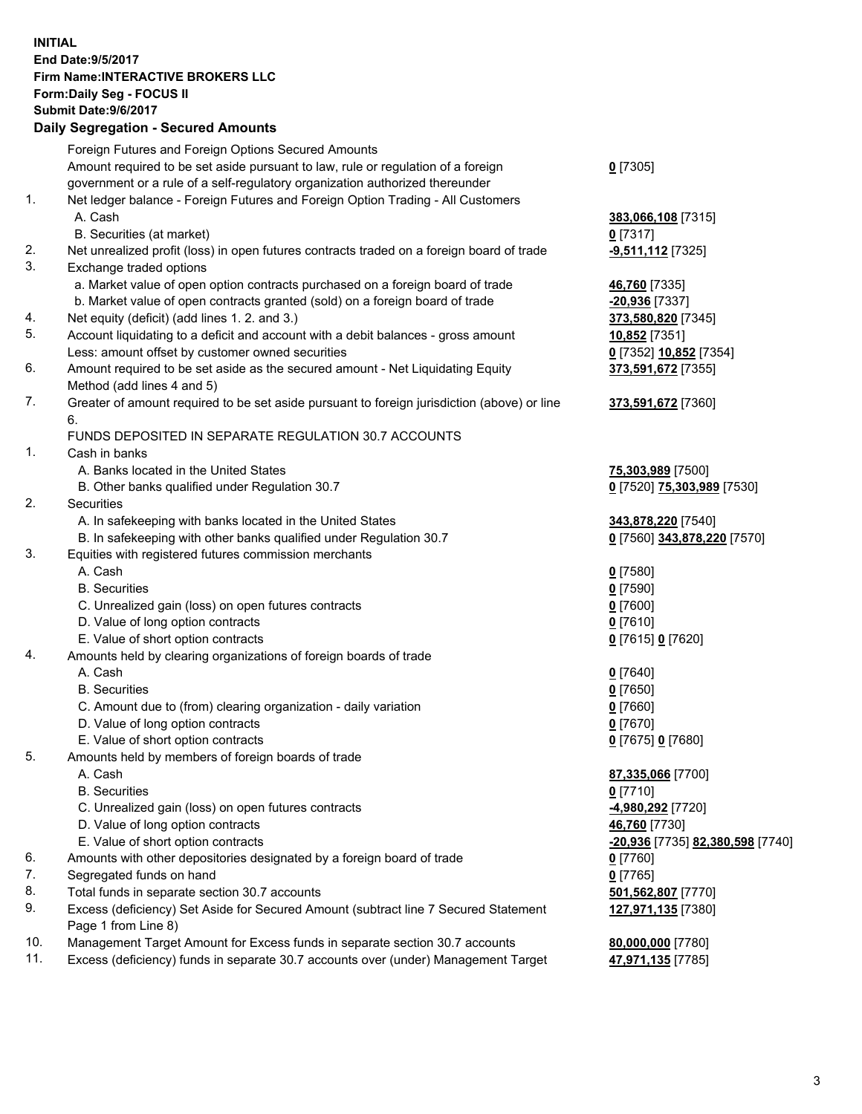## **INITIAL End Date:9/5/2017 Firm Name:INTERACTIVE BROKERS LLC Form:Daily Seg - FOCUS II Submit Date:9/6/2017 Daily Segregation - Secured Amounts**

|     | Foreign Futures and Foreign Options Secured Amounts                                         |                                  |
|-----|---------------------------------------------------------------------------------------------|----------------------------------|
|     | Amount required to be set aside pursuant to law, rule or regulation of a foreign            | $0$ [7305]                       |
|     | government or a rule of a self-regulatory organization authorized thereunder                |                                  |
| 1.  | Net ledger balance - Foreign Futures and Foreign Option Trading - All Customers             |                                  |
|     | A. Cash                                                                                     | 383,066,108 [7315]               |
|     | B. Securities (at market)                                                                   | $0$ [7317]                       |
| 2.  | Net unrealized profit (loss) in open futures contracts traded on a foreign board of trade   | $-9,511,112$ [7325]              |
| 3.  | Exchange traded options                                                                     |                                  |
|     | a. Market value of open option contracts purchased on a foreign board of trade              | 46,760 [7335]                    |
|     | b. Market value of open contracts granted (sold) on a foreign board of trade                | -20,936 [7337]                   |
| 4.  | Net equity (deficit) (add lines 1.2. and 3.)                                                | 373,580,820 [7345]               |
| 5.  | Account liquidating to a deficit and account with a debit balances - gross amount           | 10,852 [7351]                    |
|     | Less: amount offset by customer owned securities                                            | 0 [7352] 10,852 [7354]           |
| 6.  | Amount required to be set aside as the secured amount - Net Liquidating Equity              | 373,591,672 [7355]               |
|     | Method (add lines 4 and 5)                                                                  |                                  |
| 7.  | Greater of amount required to be set aside pursuant to foreign jurisdiction (above) or line | 373,591,672 [7360]               |
|     | 6.                                                                                          |                                  |
|     | FUNDS DEPOSITED IN SEPARATE REGULATION 30.7 ACCOUNTS                                        |                                  |
| 1.  |                                                                                             |                                  |
|     | Cash in banks                                                                               |                                  |
|     | A. Banks located in the United States                                                       | 75,303,989 [7500]                |
|     | B. Other banks qualified under Regulation 30.7                                              | 0 [7520] 75,303,989 [7530]       |
| 2.  | Securities                                                                                  |                                  |
|     | A. In safekeeping with banks located in the United States                                   | 343,878,220 [7540]               |
|     | B. In safekeeping with other banks qualified under Regulation 30.7                          | 0 [7560] 343,878,220 [7570]      |
| 3.  | Equities with registered futures commission merchants                                       |                                  |
|     | A. Cash                                                                                     | $0$ [7580]                       |
|     | <b>B.</b> Securities                                                                        | $0$ [7590]                       |
|     | C. Unrealized gain (loss) on open futures contracts                                         | $0$ [7600]                       |
|     | D. Value of long option contracts                                                           | $0$ [7610]                       |
|     | E. Value of short option contracts                                                          | 0 [7615] 0 [7620]                |
| 4.  | Amounts held by clearing organizations of foreign boards of trade                           |                                  |
|     | A. Cash                                                                                     | $0$ [7640]                       |
|     | <b>B.</b> Securities                                                                        | $0$ [7650]                       |
|     | C. Amount due to (from) clearing organization - daily variation                             | $0$ [7660]                       |
|     | D. Value of long option contracts                                                           | $0$ [7670]                       |
|     | E. Value of short option contracts                                                          | 0 [7675] 0 [7680]                |
| 5.  | Amounts held by members of foreign boards of trade                                          |                                  |
|     | A. Cash                                                                                     | 87,335,066 [7700]                |
|     | <b>B.</b> Securities                                                                        | $0$ [7710]                       |
|     | C. Unrealized gain (loss) on open futures contracts                                         | -4,980,292 [7720]                |
|     | D. Value of long option contracts                                                           | 46,760 [7730]                    |
|     | E. Value of short option contracts                                                          | -20,936 [7735] 82,380,598 [7740] |
| 6.  | Amounts with other depositories designated by a foreign board of trade                      | $0$ [7760]                       |
| 7.  | Segregated funds on hand                                                                    | $0$ [7765]                       |
| 8.  | Total funds in separate section 30.7 accounts                                               | 501,562,807 [7770]               |
| 9.  | Excess (deficiency) Set Aside for Secured Amount (subtract line 7 Secured Statement         | 127,971,135 [7380]               |
|     | Page 1 from Line 8)                                                                         |                                  |
| 10. | Management Target Amount for Excess funds in separate section 30.7 accounts                 | 80,000,000 [7780]                |
| 11. | Excess (deficiency) funds in separate 30.7 accounts over (under) Management Target          | 47,971,135 [7785]                |
|     |                                                                                             |                                  |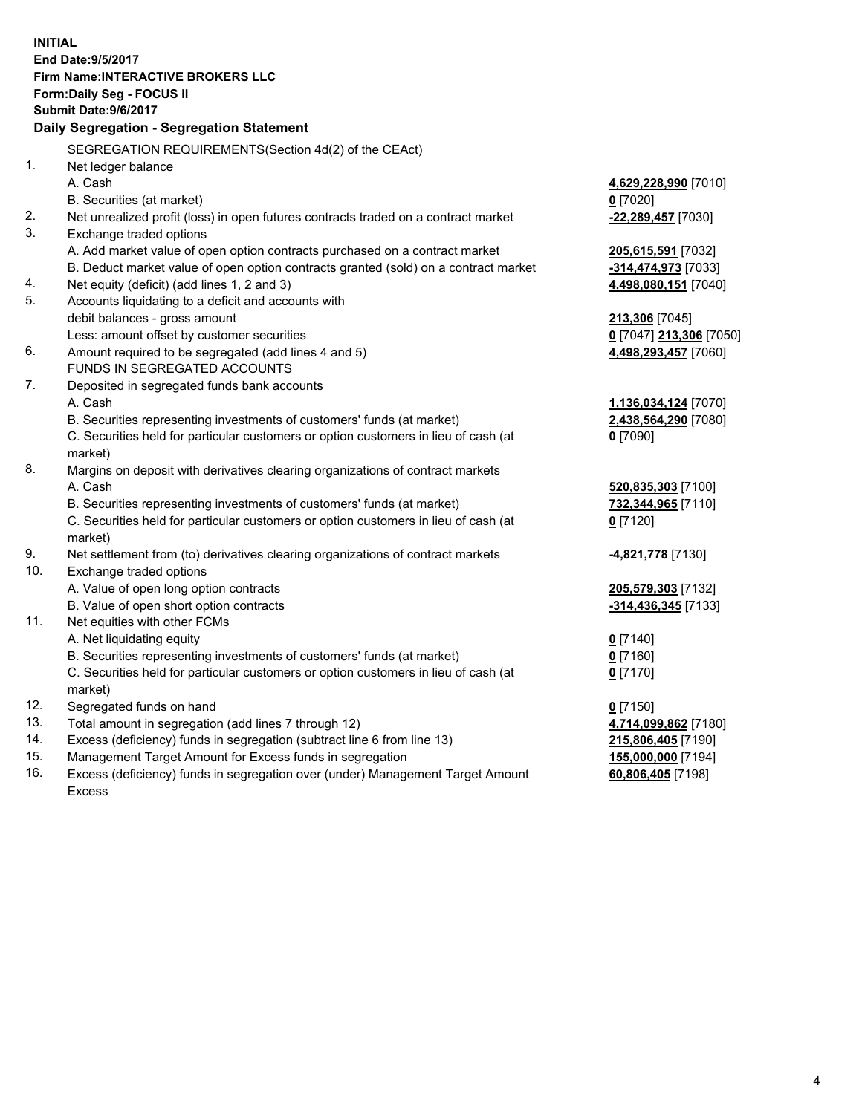**INITIAL End Date:9/5/2017 Firm Name:INTERACTIVE BROKERS LLC Form:Daily Seg - FOCUS II Submit Date:9/6/2017 Daily Segregation - Segregation Statement** SEGREGATION REQUIREMENTS(Section 4d(2) of the CEAct) 1. Net ledger balance A. Cash **4,629,228,990** [7010] B. Securities (at market) **0** [7020] 2. Net unrealized profit (loss) in open futures contracts traded on a contract market **-22,289,457** [7030] 3. Exchange traded options A. Add market value of open option contracts purchased on a contract market **205,615,591** [7032] B. Deduct market value of open option contracts granted (sold) on a contract market **-314,474,973** [7033] 4. Net equity (deficit) (add lines 1, 2 and 3) **4,498,080,151** [7040] 5. Accounts liquidating to a deficit and accounts with debit balances - gross amount **213,306** [7045] Less: amount offset by customer securities **0** [7047] **213,306** [7050] 6. Amount required to be segregated (add lines 4 and 5) **4,498,293,457** [7060] FUNDS IN SEGREGATED ACCOUNTS 7. Deposited in segregated funds bank accounts A. Cash **1,136,034,124** [7070] B. Securities representing investments of customers' funds (at market) **2,438,564,290** [7080] C. Securities held for particular customers or option customers in lieu of cash (at market) **0** [7090] 8. Margins on deposit with derivatives clearing organizations of contract markets A. Cash **520,835,303** [7100] B. Securities representing investments of customers' funds (at market) **732,344,965** [7110] C. Securities held for particular customers or option customers in lieu of cash (at market) **0** [7120] 9. Net settlement from (to) derivatives clearing organizations of contract markets **-4,821,778** [7130] 10. Exchange traded options A. Value of open long option contracts **205,579,303** [7132] B. Value of open short option contracts **-314,436,345** [7133] 11. Net equities with other FCMs A. Net liquidating equity **0** [7140] B. Securities representing investments of customers' funds (at market) **0** [7160] C. Securities held for particular customers or option customers in lieu of cash (at market) **0** [7170] 12. Segregated funds on hand **0** [7150] 13. Total amount in segregation (add lines 7 through 12) **4,714,099,862** [7180] 14. Excess (deficiency) funds in segregation (subtract line 6 from line 13) **215,806,405** [7190] 15. Management Target Amount for Excess funds in segregation **155,000,000** [7194] 16. Excess (deficiency) funds in segregation over (under) Management Target Amount **60,806,405** [7198]

Excess